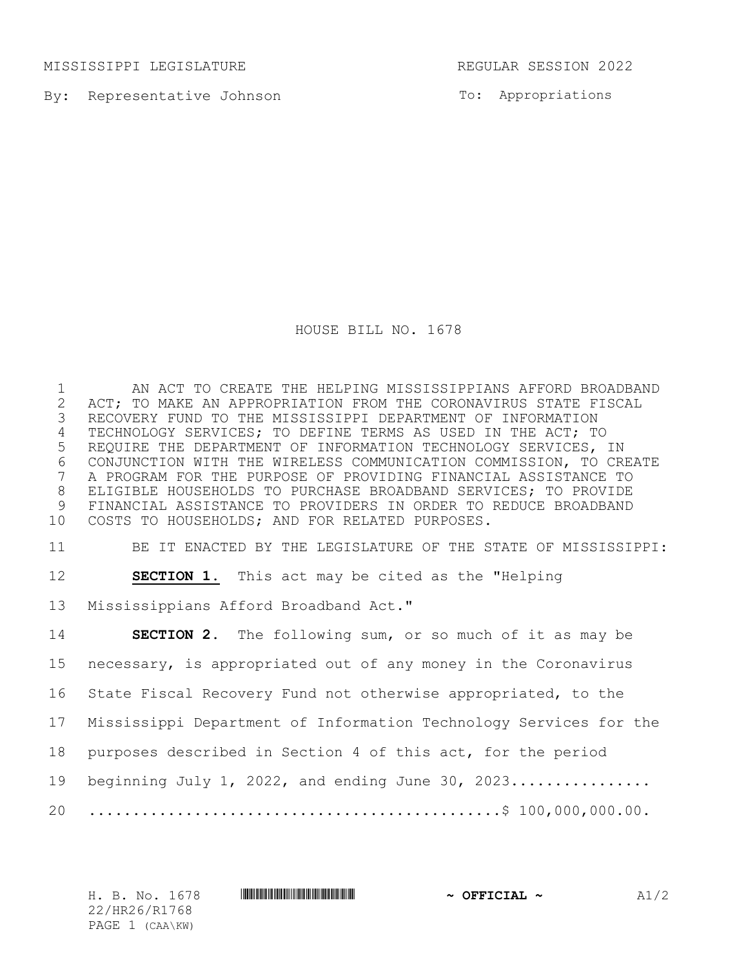MISSISSIPPI LEGISLATURE REGULAR SESSION 2022

By: Representative Johnson

To: Appropriations

HOUSE BILL NO. 1678

1 AN ACT TO CREATE THE HELPING MISSISSIPPIANS AFFORD BROADBAND<br>2 ACT; TO MAKE AN APPROPRIATION FROM THE CORONAVIRUS STATE FISCAL 2 ACT; TO MAKE AN APPROPRIATION FROM THE CORONAVIRUS STATE FISCAL<br>3 RECOVERY FUND TO THE MISSISSIPPI DEPARTMENT OF INFORMATION RECOVERY FUND TO THE MISSISSIPPI DEPARTMENT OF INFORMATION 4 TECHNOLOGY SERVICES; TO DEFINE TERMS AS USED IN THE ACT; TO 5 REQUIRE THE DEPARTMENT OF INFORMATION TECHNOLOGY SERVICES, IN 6 CONJUNCTION WITH THE WIRELESS COMMUNICATION COMMISSION, TO CREATE<br>7 A PROGRAM FOR THE PURPOSE OF PROVIDING FINANCIAL ASSISTANCE TO 7 A PROGRAM FOR THE PURPOSE OF PROVIDING FINANCIAL ASSISTANCE TO 8 ELIGIBLE HOUSEHOLDS TO PURCHASE BROADBAND SERVICES; TO PROVIDE 9 FINANCIAL ASSISTANCE TO PROVIDERS IN ORDER TO REDUCE BROADBAND<br>10 COSTS TO HOUSEHOLDS; AND FOR RELATED PURPOSES. COSTS TO HOUSEHOLDS; AND FOR RELATED PURPOSES.

11 BE IT ENACTED BY THE LEGISLATURE OF THE STATE OF MISSISSIPPI:

12 **SECTION 1.** This act may be cited as the "Helping

13 Mississippians Afford Broadband Act."

 **SECTION 2.** The following sum, or so much of it as may be necessary, is appropriated out of any money in the Coronavirus State Fiscal Recovery Fund not otherwise appropriated, to the Mississippi Department of Information Technology Services for the purposes described in Section 4 of this act, for the period 19 beginning July 1, 2022, and ending June 30, 2023................. ...............................................\$ 100,000,000.00.

22/HR26/R1768 PAGE 1 (CAA\KW)

H. B. No. 1678 \*HR26/R1768\* **~ OFFICIAL ~** A1/2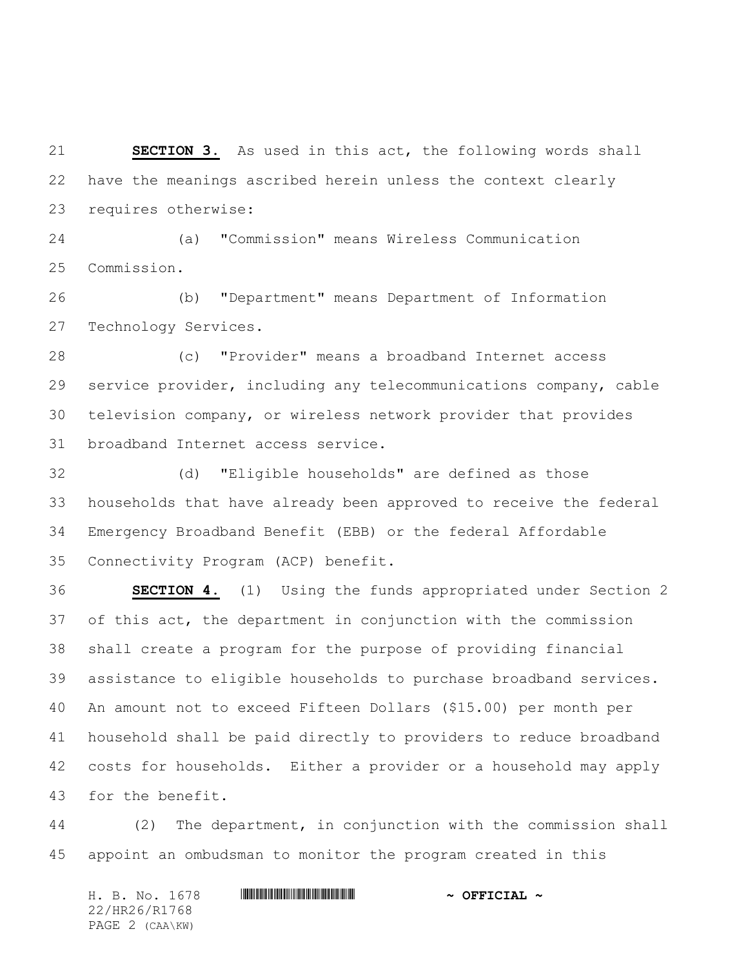**SECTION 3.** As used in this act, the following words shall have the meanings ascribed herein unless the context clearly requires otherwise:

 (a) "Commission" means Wireless Communication Commission.

 (b) "Department" means Department of Information Technology Services.

 (c) "Provider" means a broadband Internet access service provider, including any telecommunications company, cable television company, or wireless network provider that provides broadband Internet access service.

 (d) "Eligible households" are defined as those households that have already been approved to receive the federal Emergency Broadband Benefit (EBB) or the federal Affordable Connectivity Program (ACP) benefit.

 **SECTION 4.** (1) Using the funds appropriated under Section 2 of this act, the department in conjunction with the commission shall create a program for the purpose of providing financial assistance to eligible households to purchase broadband services. An amount not to exceed Fifteen Dollars (\$15.00) per month per household shall be paid directly to providers to reduce broadband costs for households. Either a provider or a household may apply for the benefit.

 (2) The department, in conjunction with the commission shall appoint an ombudsman to monitor the program created in this

| H. B. No. 1678  | $\sim$ OFFICIAL $\sim$ |
|-----------------|------------------------|
| 22/HR26/R1768   |                        |
| PAGE 2 (CAA\KW) |                        |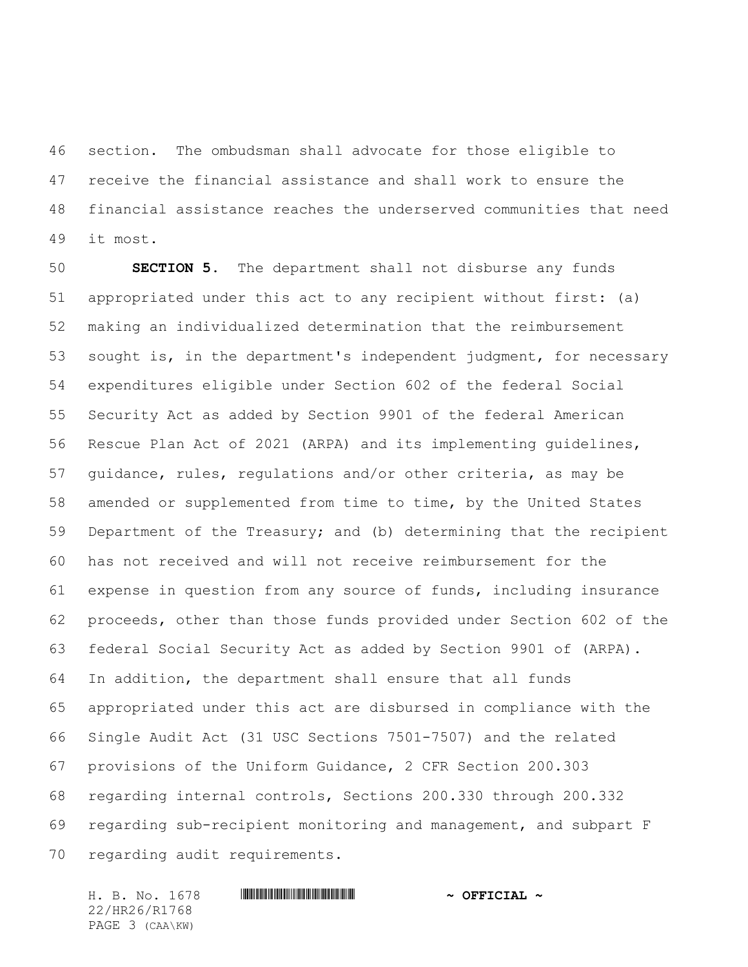section. The ombudsman shall advocate for those eligible to receive the financial assistance and shall work to ensure the financial assistance reaches the underserved communities that need it most.

 **SECTION 5.** The department shall not disburse any funds appropriated under this act to any recipient without first: (a) making an individualized determination that the reimbursement sought is, in the department's independent judgment, for necessary expenditures eligible under Section 602 of the federal Social Security Act as added by Section 9901 of the federal American Rescue Plan Act of 2021 (ARPA) and its implementing guidelines, guidance, rules, regulations and/or other criteria, as may be amended or supplemented from time to time, by the United States Department of the Treasury; and (b) determining that the recipient has not received and will not receive reimbursement for the expense in question from any source of funds, including insurance proceeds, other than those funds provided under Section 602 of the federal Social Security Act as added by Section 9901 of (ARPA). In addition, the department shall ensure that all funds appropriated under this act are disbursed in compliance with the Single Audit Act (31 USC Sections 7501-7507) and the related provisions of the Uniform Guidance, 2 CFR Section 200.303 regarding internal controls, Sections 200.330 through 200.332 regarding sub-recipient monitoring and management, and subpart F regarding audit requirements.

22/HR26/R1768 PAGE 3 (CAA\KW)

## H. B. No. 1678 \*HR26/R1768\* **~ OFFICIAL ~**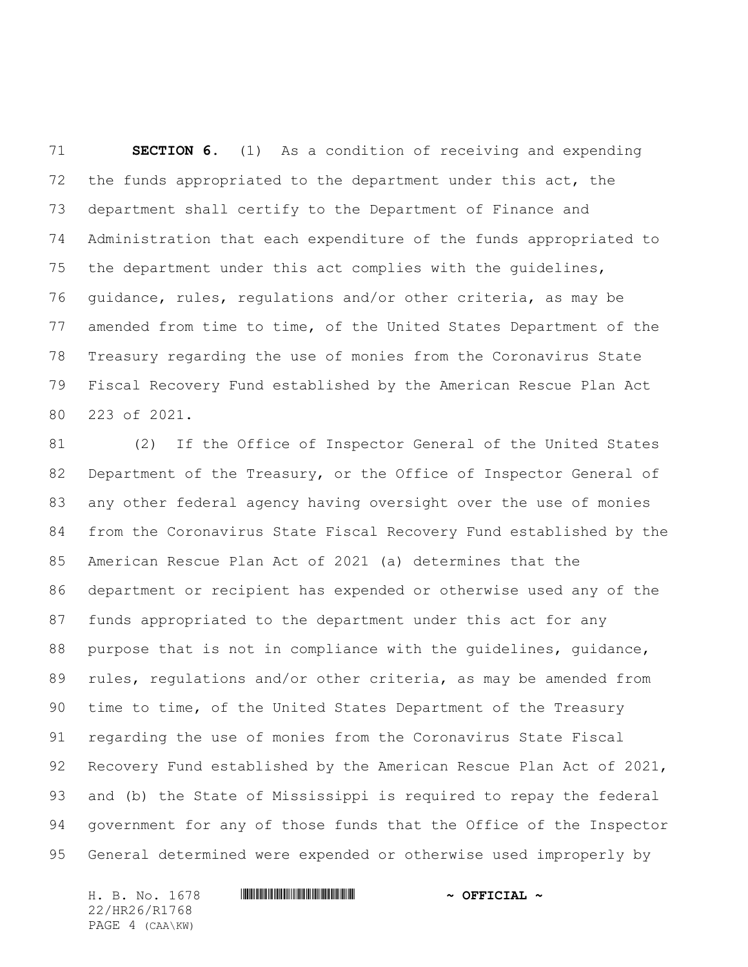**SECTION 6.** (1) As a condition of receiving and expending the funds appropriated to the department under this act, the department shall certify to the Department of Finance and Administration that each expenditure of the funds appropriated to the department under this act complies with the guidelines, guidance, rules, regulations and/or other criteria, as may be amended from time to time, of the United States Department of the Treasury regarding the use of monies from the Coronavirus State Fiscal Recovery Fund established by the American Rescue Plan Act 223 of 2021.

 (2) If the Office of Inspector General of the United States Department of the Treasury, or the Office of Inspector General of any other federal agency having oversight over the use of monies from the Coronavirus State Fiscal Recovery Fund established by the American Rescue Plan Act of 2021 (a) determines that the department or recipient has expended or otherwise used any of the funds appropriated to the department under this act for any purpose that is not in compliance with the guidelines, guidance, 89 rules, regulations and/or other criteria, as may be amended from time to time, of the United States Department of the Treasury regarding the use of monies from the Coronavirus State Fiscal Recovery Fund established by the American Rescue Plan Act of 2021, and (b) the State of Mississippi is required to repay the federal government for any of those funds that the Office of the Inspector General determined were expended or otherwise used improperly by

22/HR26/R1768 PAGE 4 (CAA\KW)

H. B. No. 1678 \*HR26/R1768\* **~ OFFICIAL ~**